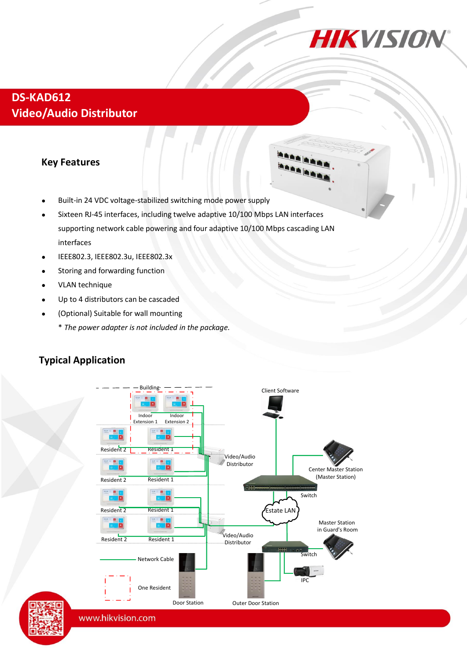

## **DS-KAD612 Video/Audio Distributor**

#### **Key Features**

- Built-in 24 VDC voltage-stabilized switching mode power supply
- Sixteen RJ-45 interfaces, including twelve adaptive 10/100 Mbps LAN interfaces supporting network cable powering and four adaptive 10/100 Mbps cascading LAN interfaces
- IEEE802.3, IEEE802.3u, IEEE802.3x
- Storing and forwarding function
- VLAN technique
- Up to 4 distributors can be cascaded
- (Optional) Suitable for wall mounting
	- \* *The power adapter is not included in the package.*



#### **Typical Application**

www.hikvision.com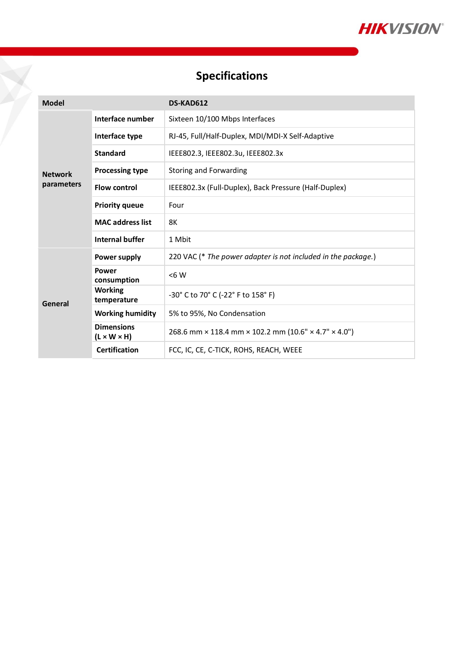

# **Specifications**

 $\sum_{i=1}^{n}$ 

| <b>Model</b>                 |                                              | DS-KAD612                                                     |
|------------------------------|----------------------------------------------|---------------------------------------------------------------|
| <b>Network</b><br>parameters | Interface number                             | Sixteen 10/100 Mbps Interfaces                                |
|                              | Interface type                               | RJ-45, Full/Half-Duplex, MDI/MDI-X Self-Adaptive              |
|                              | <b>Standard</b>                              | IEEE802.3, IEEE802.3u, IEEE802.3x                             |
|                              | <b>Processing type</b>                       | Storing and Forwarding                                        |
|                              | <b>Flow control</b>                          | IEEE802.3x (Full-Duplex), Back Pressure (Half-Duplex)         |
|                              | <b>Priority queue</b>                        | Four                                                          |
|                              | <b>MAC address list</b>                      | 8K                                                            |
|                              | Internal buffer                              | 1 Mbit                                                        |
| General                      | Power supply                                 | 220 VAC (* The power adapter is not included in the package.) |
|                              | Power<br>consumption                         | < 6 W                                                         |
|                              | <b>Working</b><br>temperature                | -30° C to 70° C (-22° F to 158° F)                            |
|                              | <b>Working humidity</b>                      | 5% to 95%, No Condensation                                    |
|                              | <b>Dimensions</b><br>$(L \times W \times H)$ | 268.6 mm × 118.4 mm × 102.2 mm (10.6" × 4.7" × 4.0")          |
|                              | <b>Certification</b>                         | FCC, IC, CE, C-TICK, ROHS, REACH, WEEE                        |